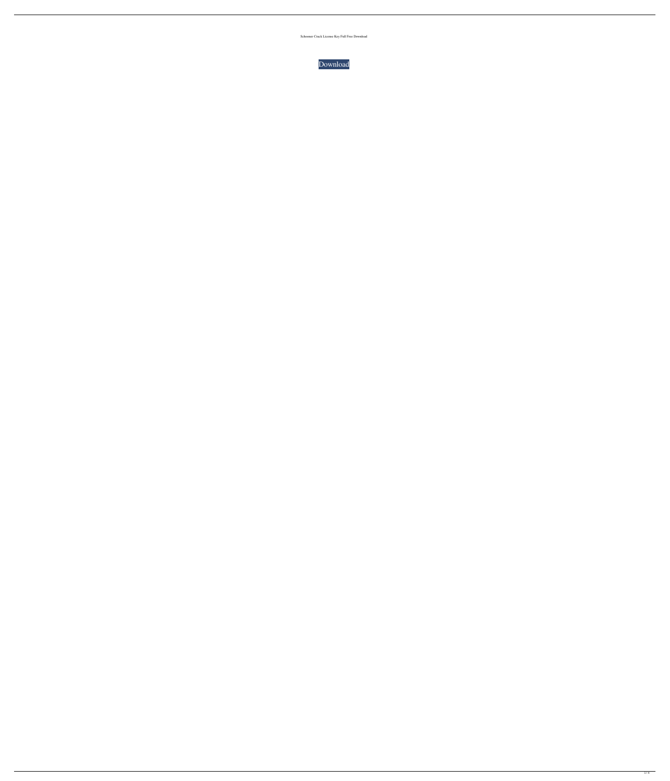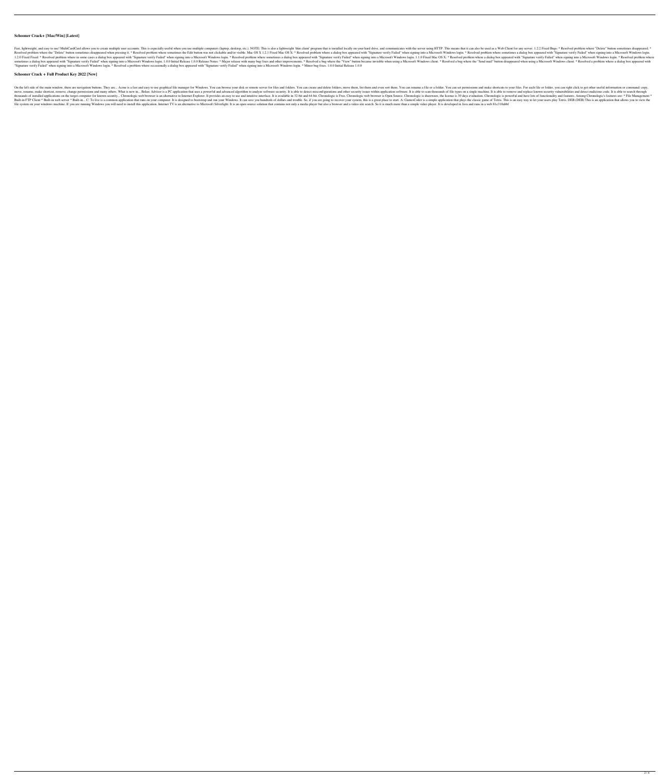## **Schooner Crack+ [Mac/Win] [Latest]**

Fast, lightweight, and easy to use! MultiCardCard allows you to create multiple user accounts. This is especially useful when you use multiple computers (laptop, desktop, etc.). NOTE: This is also a lightweight 'thin clien Resolved problem where the "Delete" button sometimes disappeared when pressing it. \* Resolved problem where sometimes the Edit button was not clickable and/or visible. Mac OS X: \* Resolved problem where a dialog box appear 1.2.0 Fixed Fixed: \* Resolved problem where in some cases a dialog box appeared with "Signature verify Failed" when signing into a Microsoft Windows login. \* Resolved problem where a dialog box appeared with "Signature ver sometimes a dialog box appeared with "Signature verify Failed" when signing into a Microsoft Windows login. 1.0.0 Initial Release 1.0.0 Release Notes: \* Major release with many bug fixes and other improvements. \* Resolved "Signature verify Failed" when signing into a Microsoft Windows login. \* Resolved a problem where occasionally a dialog box appeared with "Signature verify Failed" when signing into a Microsoft Windows login. \* Minor bug f

## **Schooner Crack + Full Product Key 2022 [New]**

On the left side of the main window, there are navigation buttoms. They are.... Acme is a fast and easy to use graphical file manager for Windows. You can browse your disk or remote server for files and folders. You can se move, rename, make shortcut, remove, change permissions and many others. What is new in... Belarc Advisor is a PC application that uses a powerful and advanced algorithm to analyze software security. It is able to scan tho thousands of installed applications on the target computer for known security... Chronologic web browser is an alternative to Internet Explorer. It provides an easy to use and intuitive interface. It is available in 32-bit Built-in FTP Client \* Built-in web server \* Built-in web server \* Built-in ... C: To live is a common application that runs on your computer. It is designed to bootstrap and run your Windows. It can save you hundreds of do file system on your windows machine. If you are running Windows you will need to install this application. Internet TV is an alternative to Microsoft Silverlight. It is an open source solution that contains not only a medi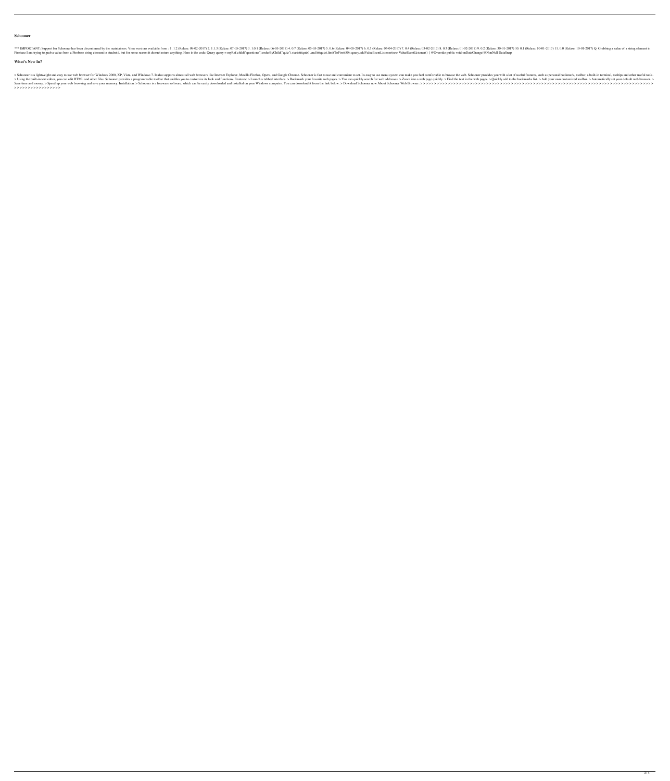#### **Schooner**

\*\*\* IMPORTANT: Support for Schooner has been discontinued by the maintainers. View versions available from : 1. 1.2 (Relase: 09-02-2017) 2. 1.1.3 (Relase: 06-05-2017) 5. 0.6 (Relase: 06-05-2017) 7. 0.4 (Relase: 09-02-2017) Firebase I am trying to grab a value from a Firebase string element in Android, but for some reason it doesn't return anything. Here is the code: Query query = myRef.child("questions").orderByChild("quiz").startAt(quiz).li

# **What's New In?**

>Schooner is a lightweight and easy to use web browser for Windows 2000, XP, Vista, and Windows 2000, XP, Vista, and Windows 7. It also supports almost all web browsers like Internet Explorer, Mozilla Firefox, Opera, and G >Using the built-in text editor, you can edit HTML and other files. Schooner provides a programmable toolbar that enables you to customize its look and functions. Features: > Launch a tabbed interface. > Bookmark your favo Save time and money. > Speed up your web browsing and save your memory. Installation: > Schooner is a freeware software, which can be easily downloaded and installed on your Windows computer. You can download it from the l > > > > > > > > > > > > > > > > >